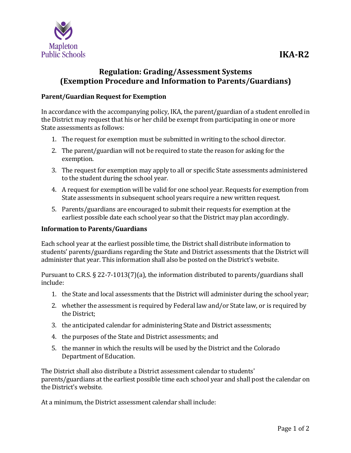

## **Regulation: Grading/Assessment Systems (Exemption Procedure and Information to Parents/Guardians)**

## **Parent/Guardian Request for Exemption**

In accordance with the accompanying policy, IKA, the parent/guardian of a student enrolled in the District may request that his or her child be exempt from participating in one or more State assessments as follows:

- 1. The request for exemption must be submitted in writing to the school director.
- 2. The parent/guardian will not be required to state the reason for asking for the exemption.
- 3. The request for exemption may apply to all or specific State assessments administered to the student during the school year.
- 4. A request for exemption will be valid for one school year. Requests for exemption from State assessments in subsequent school years require a new written request.
- 5. Parents/guardians are encouraged to submit their requests for exemption at the earliest possible date each school year so that the District may plan accordingly.

## **Information to Parents/Guardians**

Each school year at the earliest possible time, the District shall distribute information to students' parents/guardians regarding the State and District assessments that the District will administer that year. This information shall also be posted on the District's website.

Pursuant to C.R.S. § 22-7-1013(7)(a), the information distributed to parents/guardians shall include:

- 1. the State and local assessments that the District will administer during the school year;
- 2. whether the assessment is required by Federal law and/or State law, or is required by the District;
- 3. the anticipated calendar for administering State and District assessments;
- 4. the purposes of the State and District assessments; and
- 5. the manner in which the results will be used by the District and the Colorado Department of Education.

The District shall also distribute a District assessment calendar to students' parents/guardians at the earliest possible time each school year and shall post the calendar on the District's website.

At a minimum, the District assessment calendar shall include:

**IKA-R2**